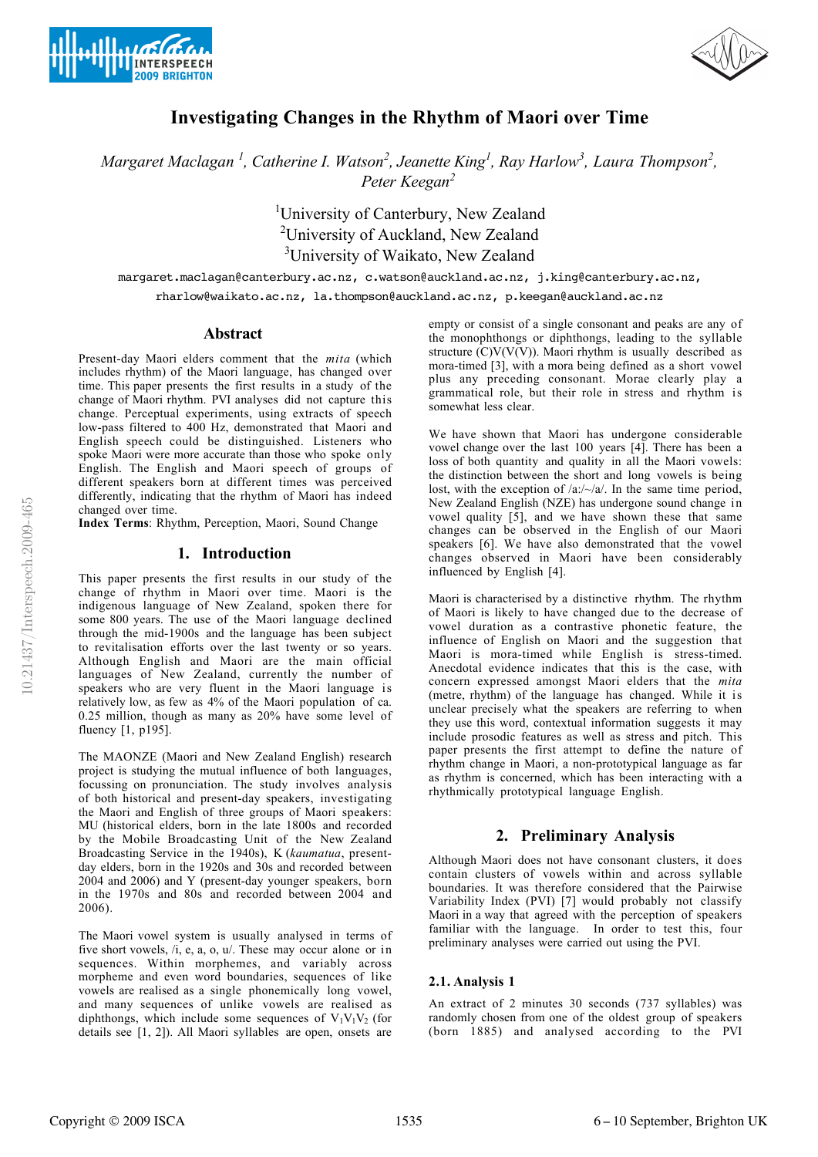



# **Investigating Changes in the Rhythm of Maori over Time**

*Margaret Maclagan*<sup>1</sup>, Catherine I. Watson<sup>2</sup>, Jeanette King<sup>1</sup>, Ray Harlow<sup>3</sup>, Laura Thompson<sup>2</sup>, *Keegan2 Peter*

> <sup>1</sup>University of Canterbury, New Zealand <sup>2</sup>University of Auckland, New Zealand <sup>3</sup>University of Waikato, New Zealand

margaret.maclagan@canterbury.ac.nz, c.watson@auckland.ac.nz, j.king@canterbury.ac.nz, rharlow@waikato.ac.nz, la.thompson@auckland.ac.nz, p.keegan@auckland.ac.nz

### **Abstract**

Present-day Maori elders comment that the *mita* (which includes rhythm) of the Maori language, has changed over time. This paper presents the first results in a study of the change of Maori rhythm. PVI analyses did not capture this change. Perceptual experiments, using extracts of speech low-pass filtered to 400 Hz, demonstrated that Maori and English speech could be distinguished. Listeners who spoke Maori were more accurate than those who spoke only English. The English and Maori speech of groups of different speakers born at different times was perceived differently, indicating that the rhythm of Maori has indeed changed over time.

**Index Terms**: Rhythm, Perception, Maori, Sound Change

# **1. Introduction**

This paper presents the first results in our study of the change of rhythm in Maori over time. Maori is the indigenous language of New Zealand, spoken there for some 800 years. The use of the Maori language declined through the mid-1900s and the language has been subject to revitalisation efforts over the last twenty or so years. Although English and Maori are the main official languages of New Zealand, currently the number of speakers who are very fluent in the Maori language is relatively low, as few as 4% of the Maori population of ca. 0.25 million, though as many as 20% have some level of fluency [1, p195].

The MAONZE (Maori and New Zealand English) research project is studying the mutual influence of both languages, focussing on pronunciation. The study involves analysis of both historical and present-day speakers, investigating the Maori and English of three groups of Maori speakers: MU (historical elders, born in the late 1800s and recorded by the Mobile Broadcasting Unit of the New Zealand Broadcasting Service in the 1940s), K (*kaumatua*, presentday elders, born in the 1920s and 30s and recorded between 2004 and 2006) and Y (present-day younger speakers, born in the 1970s and 80s and recorded between 2004 and 2006).

The Maori vowel system is usually analysed in terms of five short vowels, /i, e, a, o, u/. These may occur alone or in sequences. Within morphemes, and variably across morpheme and even word boundaries, sequences of like vowels are realised as a single phonemically long vowel, and many sequences of unlike vowels are realised as diphthongs, which include some sequences of  $V_1V_1V_2$  (for details see [1, 2]). All Maori syllables are open, onsets are

empty or consist of a single consonant and peaks are any of the monophthongs or diphthongs, leading to the syllable structure  $\left(\frac{C}{V(V)}\right)$ . Maori rhythm is usually described as mora-timed [3], with a mora being defined as a short vowel plus any preceding consonant. Morae clearly play a grammatical role, but their role in stress and rhythm is somewhat less clear.

We have shown that Maori has undergone considerable vowel change over the last 100 years [4]. There has been a loss of both quantity and quality in all the Maori vowels: the distinction between the short and long vowels is being lost, with the exception of  $\langle a$ :/ $\sim$ / $a$ /. In the same time period, New Zealand English (NZE) has undergone sound change in vowel quality [5], and we have shown these that same changes can be observed in the English of our Maori speakers [6]. We have also demonstrated that the vowel changes observed in Maori have been considerably influenced by English [4].

Maori is characterised by a distinctive rhythm. The rhythm of Maori is likely to have changed due to the decrease of vowel duration as a contrastive phonetic feature, the influence of English on Maori and the suggestion that Maori is mora-timed while English is stress-timed. Anecdotal evidence indicates that this is the case, with concern expressed amongst Maori elders that the *mita* (metre, rhythm) of the language has changed. While it is unclear precisely what the speakers are referring to when they use this word, contextual information suggests it may include prosodic features as well as stress and pitch. This paper presents the first attempt to define the nature of rhythm change in Maori, a non-prototypical language as far as rhythm is concerned, which has been interacting with a rhythmically prototypical language English.

# **2. Preliminary Analysis**

Although Maori does not have consonant clusters, it does contain clusters of vowels within and across syllable boundaries. It was therefore considered that the Pairwise Variability Index (PVI) [7] would probably not classify Maori in a way that agreed with the perception of speakers familiar with the language. In order to test this, four preliminary analyses were carried out using the PVI.

#### **2.1. Analysis 1**

An extract of 2 minutes 30 seconds (737 syllables) was randomly chosen from one of the oldest group of speakers (born 1885) and analysed according to the PVI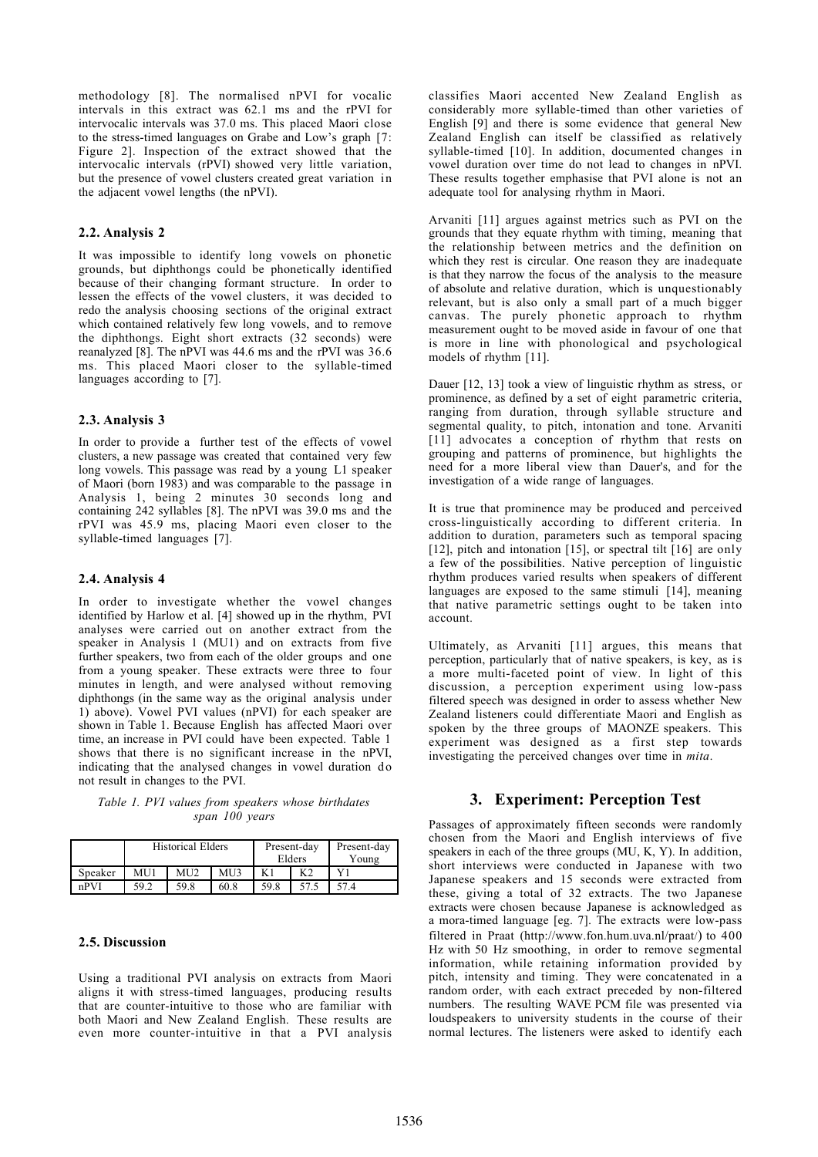methodology [8]. The normalised nPVI for vocalic intervals in this extract was 62.1 ms and the rPVI for intervocalic intervals was 37.0 ms. This placed Maori close to the stress-timed languages on Grabe and Low's graph [7: Figure 2]. Inspection of the extract showed that the intervocalic intervals (rPVI) showed very little variation, but the presence of vowel clusters created great variation in the adjacent vowel lengths (the nPVI).

#### **2.2. Analysis 2**

It was impossible to identify long vowels on phonetic grounds, but diphthongs could be phonetically identified because of their changing formant structure. In order to lessen the effects of the vowel clusters, it was decided to redo the analysis choosing sections of the original extract which contained relatively few long vowels, and to remove the diphthongs. Eight short extracts (32 seconds) were reanalyzed [8]. The nPVI was 44.6 ms and the rPVI was 36.6 ms. This placed Maori closer to the syllable-timed languages according to [7].

#### **2.3. Analysis 3**

In order to provide a further test of the effects of vowel clusters, a new passage was created that contained very few long vowels. This passage was read by a young L1 speaker of Maori (born 1983) and was comparable to the passage in Analysis 1, being 2 minutes 30 seconds long and containing 242 syllables [8]. The nPVI was 39.0 ms and the rPVI was 45.9 ms, placing Maori even closer to the syllable-timed languages [7].

### **2.4. Analysis 4**

In order to investigate whether the vowel changes identified by Harlow et al. [4] showed up in the rhythm, PVI analyses were carried out on another extract from the speaker in Analysis 1 (MU1) and on extracts from five further speakers, two from each of the older groups and one from a young speaker. These extracts were three to four minutes in length, and were analysed without removing diphthongs (in the same way as the original analysis under 1) above). Vowel PVI values (nPVI) for each speaker are shown in Table 1. Because English has affected Maori over time, an increase in PVI could have been expected. Table 1 shows that there is no significant increase in the nPVI, indicating that the analysed changes in vowel duration do not result in changes to the PVI.

*Table 1. PVI values from speakers whose birthdates span 100 years*

|         | <b>Historical Elders</b> |                   |      | Present-day<br>Elders |      | Present-day<br>Young |
|---------|--------------------------|-------------------|------|-----------------------|------|----------------------|
| Speaker | MU1                      | M <sub>U</sub> 12 | MU3  |                       |      |                      |
| nPVI    | 59.2                     | 59.8              | 60.8 | 59.8                  | 57.5 | 57.4                 |

### **2.5. Discussion**

Using a traditional PVI analysis on extracts from Maori aligns it with stress-timed languages, producing results that are counter-intuitive to those who are familiar with both Maori and New Zealand English. These results are even more counter-intuitive in that a PVI analysis

classifies Maori accented New Zealand English as considerably more syllable-timed than other varieties of English [9] and there is some evidence that general New Zealand English can itself be classified as relatively syllable-timed [10]. In addition, documented changes in vowel duration over time do not lead to changes in nPVI. These results together emphasise that PVI alone is not an adequate tool for analysing rhythm in Maori.

Arvaniti [11] argues against metrics such as PVI on the grounds that they equate rhythm with timing, meaning that the relationship between metrics and the definition on which they rest is circular. One reason they are inadequate is that they narrow the focus of the analysis to the measure of absolute and relative duration, which is unquestionably relevant, but is also only a small part of a much bigger canvas. The purely phonetic approach to rhythm measurement ought to be moved aside in favour of one that is more in line with phonological and psychological models of rhythm [11].

Dauer [12, 13] took a view of linguistic rhythm as stress, or prominence, as defined by a set of eight parametric criteria, ranging from duration, through syllable structure and segmental quality, to pitch, intonation and tone. Arvaniti [11] advocates a conception of rhythm that rests on grouping and patterns of prominence, but highlights the need for a more liberal view than Dauer's, and for the investigation of a wide range of languages.

It is true that prominence may be produced and perceived cross-linguistically according to different criteria. In addition to duration, parameters such as temporal spacing [12], pitch and intonation [15], or spectral tilt  $\lceil 16 \rceil$  are only a few of the possibilities. Native perception of linguistic rhythm produces varied results when speakers of different languages are exposed to the same stimuli [14], meaning that native parametric settings ought to be taken into account.

Ultimately, as Arvaniti [11] argues, this means that perception, particularly that of native speakers, is key, as is a more multi-faceted point of view. In light of this discussion, a perception experiment using low-pass filtered speech was designed in order to assess whether New Zealand listeners could differentiate Maori and English as spoken by the three groups of MAONZE speakers. This experiment was designed as a first step towards investigating the perceived changes over time in *mita*.

#### **3. Experiment: Perception Test**

Passages of approximately fifteen seconds were randomly chosen from the Maori and English interviews of five speakers in each of the three groups (MU, K, Y). In addition, short interviews were conducted in Japanese with two Japanese speakers and 15 seconds were extracted from these, giving a total of 32 extracts. The two Japanese extracts were chosen because Japanese is acknowledged as a mora-timed language [eg. 7]. The extracts were low-pass filtered in Praat (http://www.fon.hum.uva.nl/praat/) to 400 Hz with 50 Hz smoothing, in order to remove segmental information, while retaining information provided by pitch, intensity and timing. They were concatenated in a random order, with each extract preceded by non-filtered numbers. The resulting WAVE PCM file was presented via loudspeakers to university students in the course of their normal lectures. The listeners were asked to identify each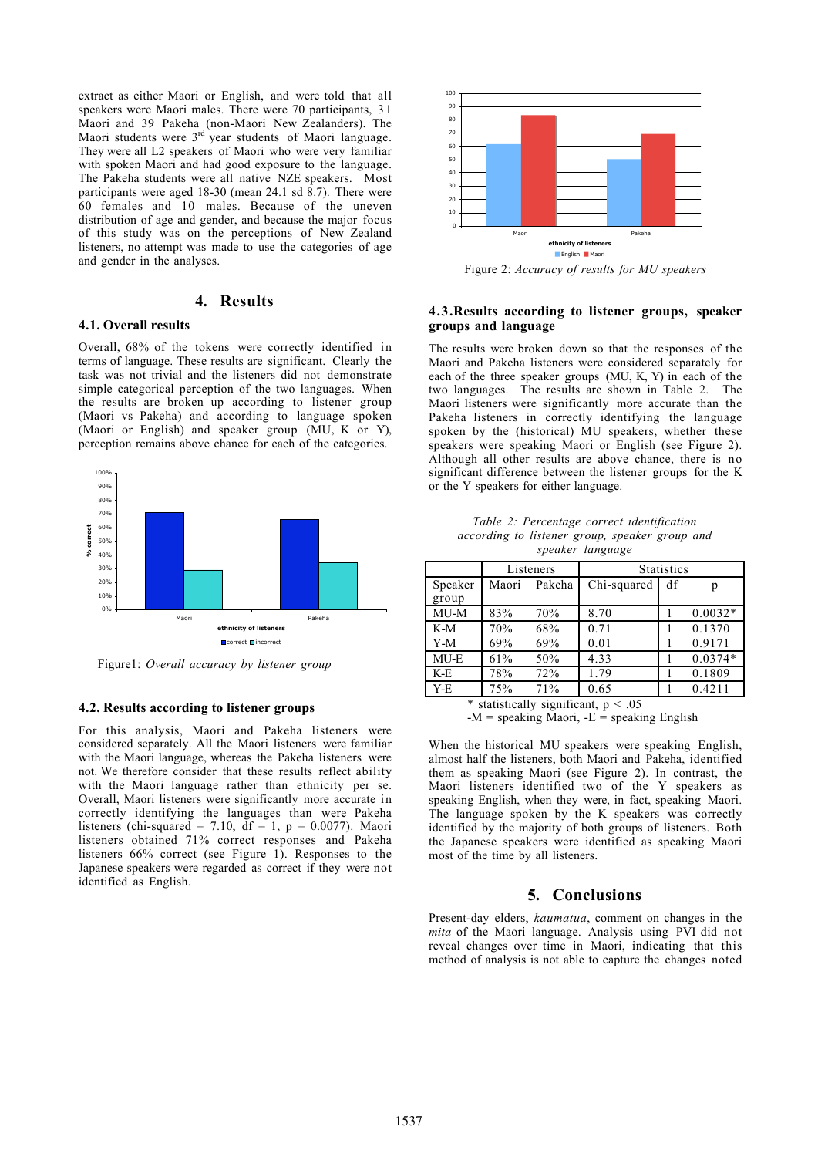extract as either Maori or English, and were told that all speakers were Maori males. There were 70 participants, 31 Maori and 39 Pakeha (non-Maori New Zealanders). The Maori students were 3<sup>rd</sup> year students of Maori language. They were all L2 speakers of Maori who were very familiar with spoken Maori and had good exposure to the language. The Pakeha students were all native NZE speakers. Most participants were aged 18-30 (mean 24.1 sd 8.7). There were 60 females and 10 males. Because of the uneven distribution of age and gender, and because the major focus of this study was on the perceptions of New Zealand listeners, no attempt was made to use the categories of age and gender in the analyses.

# **4. Results**

### **4.1. Overall results**

Overall, 68% of the tokens were correctly identified in terms of language. These results are significant. Clearly the task was not trivial and the listeners did not demonstrate simple categorical perception of the two languages. When the results are broken up according to listener group (Maori vs Pakeha) and according to language spoken (Maori or English) and speaker group  $(MU, K$  or Y), perception remains above chance for each of the categories.



Figure1: *Overall accuracy by listener group*

#### **4.2. Results according to listener groups**

For this analysis, Maori and Pakeha listeners were considered separately. All the Maori listeners were familiar with the Maori language, whereas the Pakeha listeners were not. We therefore consider that these results reflect ability with the Maori language rather than ethnicity per se. Overall, Maori listeners were significantly more accurate in correctly identifying the languages than were Pakeha listeners (chi-squared = 7.10,  $df = 1$ ,  $p = 0.0077$ ). Maori listeners obtained 71% correct responses and Pakeha listeners 66% correct (see Figure 1). Responses to the Japanese speakers were regarded as correct if they were not identified as English.



Figure 2: *Accuracy of results for MU speakers*

#### **4.3.Results according to listener groups, speaker groups and language**

The results were broken down so that the responses of the Maori and Pakeha listeners were considered separately for each of the three speaker groups (MU, K, Y) in each of the two languages. The results are shown in Table 2. The Maori listeners were significantly more accurate than the Pakeha listeners in correctly identifying the language spoken by the (historical) MU speakers, whether these speakers were speaking Maori or English (see Figure 2). Although all other results are above chance, there is no significant difference between the listener groups for the K or the Y speakers for either language.

| Table 2: Percentage correct identification     |  |  |
|------------------------------------------------|--|--|
| according to listener group, speaker group and |  |  |
| speaker language                               |  |  |

|                                           | Listeners |        | <b>Statistics</b> |    |           |  |  |  |
|-------------------------------------------|-----------|--------|-------------------|----|-----------|--|--|--|
| Speaker                                   | Maori     | Pakeha | Chi-squared       | df | р         |  |  |  |
| group                                     |           |        |                   |    |           |  |  |  |
| MU-M                                      | 83%       | 70%    | 8.70              |    | $0.0032*$ |  |  |  |
| K-M                                       | 70%       | 68%    | 0.71              |    | 0.1370    |  |  |  |
| $Y-M$                                     | 69%       | 69%    | 0.01              |    | 0.9171    |  |  |  |
| MU-E                                      | 61%       | 50%    | 4.33              |    | $0.0374*$ |  |  |  |
| K-E                                       | 78%       | 72%    | 1.79              |    | 0.1809    |  |  |  |
| Y-E                                       | 75%       | 71%    | 0.65              |    | 0.4211    |  |  |  |
| ∗<br>statistically significant, $p < .05$ |           |        |                   |    |           |  |  |  |

 $-M =$  speaking Maori,  $-E =$  speaking English

When the historical MU speakers were speaking English, almost half the listeners, both Maori and Pakeha, identified them as speaking Maori (see Figure 2). In contrast, the Maori listeners identified two of the Y speakers as speaking English, when they were, in fact, speaking Maori. The language spoken by the K speakers was correctly identified by the majority of both groups of listeners. Both the Japanese speakers were identified as speaking Maori most of the time by all listeners.

# **5. Conclusions**

Present-day elders, *kaumatua*, comment on changes in the *mita* of the Maori language. Analysis using PVI did not reveal changes over time in Maori, indicating that this method of analysis is not able to capture the changes noted